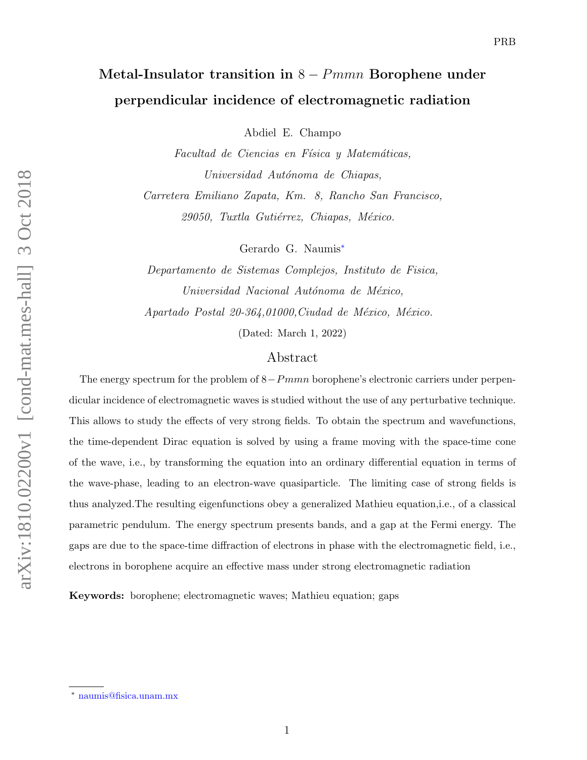# Metal-Insulator transition in  $8 - Pmmn$  Borophene under perpendicular incidence of electromagnetic radiation

Abdiel E. Champo

Facultad de Ciencias en Física y Matemáticas, Universidad Autónoma de Chiapas, Carretera Emiliano Zapata, Km. 8, Rancho San Francisco, 29050, Tuxtla Gutiérrez, Chiapas, México.

Gerardo G. Naumis[∗](#page-0-0)

Departamento de Sistemas Complejos, Instituto de Fisica, Universidad Nacional Autónoma de México, Apartado Postal 20-364,01000, Ciudad de México, México. (Dated: March 1, 2022)

## Abstract

The energy spectrum for the problem of  $8-Pmmn$  borophene's electronic carriers under perpendicular incidence of electromagnetic waves is studied without the use of any perturbative technique. This allows to study the effects of very strong fields. To obtain the spectrum and wavefunctions, the time-dependent Dirac equation is solved by using a frame moving with the space-time cone of the wave, i.e., by transforming the equation into an ordinary differential equation in terms of the wave-phase, leading to an electron-wave quasiparticle. The limiting case of strong fields is thus analyzed.The resulting eigenfunctions obey a generalized Mathieu equation,i.e., of a classical parametric pendulum. The energy spectrum presents bands, and a gap at the Fermi energy. The gaps are due to the space-time diffraction of electrons in phase with the electromagnetic field, i.e., electrons in borophene acquire an effective mass under strong electromagnetic radiation

Keywords: borophene; electromagnetic waves; Mathieu equation; gaps

<span id="page-0-0"></span><sup>∗</sup> [naumis@fisica.unam.mx](mailto:naumis@fisica.unam.mx)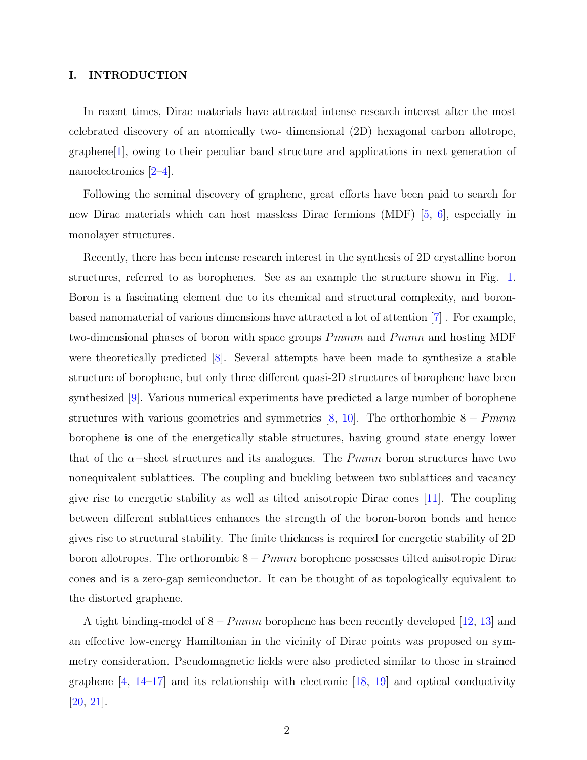#### I. INTRODUCTION

In recent times, Dirac materials have attracted intense research interest after the most celebrated discovery of an atomically two- dimensional (2D) hexagonal carbon allotrope, graphene[\[1\]](#page-12-0), owing to their peculiar band structure and applications in next generation of nanoelectronics [\[2](#page-12-1)[–4\]](#page-13-0).

Following the seminal discovery of graphene, great efforts have been paid to search for new Dirac materials which can host massless Dirac fermions (MDF) [\[5,](#page-13-1) [6\]](#page-13-2), especially in monolayer structures.

Recently, there has been intense research interest in the synthesis of 2D crystalline boron structures, referred to as borophenes. See as an example the structure shown in Fig. [1.](#page-3-0) Boron is a fascinating element due to its chemical and structural complexity, and boronbased nanomaterial of various dimensions have attracted a lot of attention [\[7\]](#page-13-3) . For example, two-dimensional phases of boron with space groups  $Pmmm$  and  $Pmmn$  and hosting MDF were theoretically predicted [\[8\]](#page-13-4). Several attempts have been made to synthesize a stable structure of borophene, but only three different quasi-2D structures of borophene have been synthesized [\[9\]](#page-13-5). Various numerical experiments have predicted a large number of borophene structures with various geometries and symmetries [\[8,](#page-13-4) [10\]](#page-13-6). The orthorhombic  $8 - Pmmn$ borophene is one of the energetically stable structures, having ground state energy lower that of the  $\alpha$ -sheet structures and its analogues. The Pmmn boron structures have two nonequivalent sublattices. The coupling and buckling between two sublattices and vacancy give rise to energetic stability as well as tilted anisotropic Dirac cones [\[11\]](#page-13-7). The coupling between different sublattices enhances the strength of the boron-boron bonds and hence gives rise to structural stability. The finite thickness is required for energetic stability of 2D boron allotropes. The orthorombic  $8 - Pmmn$  borophene possesses tilted anisotropic Dirac cones and is a zero-gap semiconductor. It can be thought of as topologically equivalent to the distorted graphene.

A tight binding-model of  $8 - Pmmn$  borophene has been recently developed [\[12,](#page-13-8) [13\]](#page-13-9) and an effective low-energy Hamiltonian in the vicinity of Dirac points was proposed on symmetry consideration. Pseudomagnetic fields were also predicted similar to those in strained graphene  $\left[4, 14-17\right]$  and its relationship with electronic  $\left[18, 19\right]$  and optical conductivity [\[20,](#page-14-3) [21\]](#page-14-4).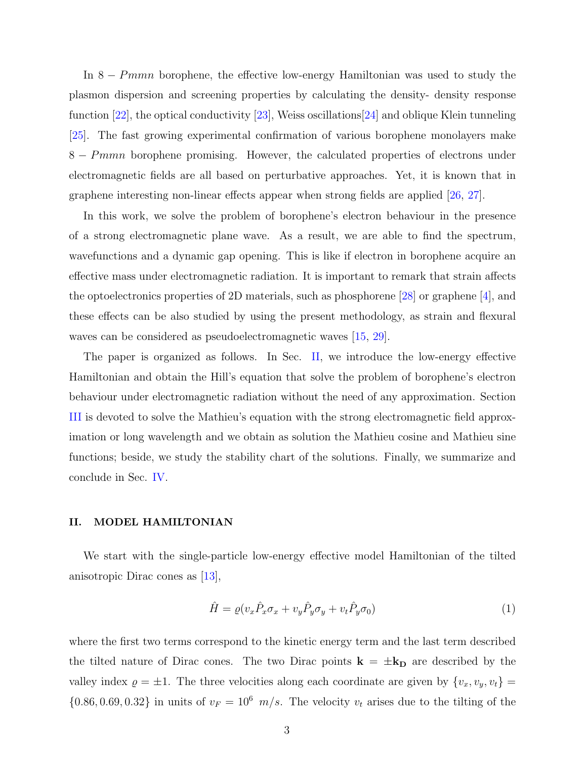In 8 − Pmmn borophene, the effective low-energy Hamiltonian was used to study the plasmon dispersion and screening properties by calculating the density- density response function [\[22\]](#page-14-5), the optical conductivity [\[23\]](#page-14-6), Weiss oscillations[\[24\]](#page-14-7) and oblique Klein tunneling [\[25\]](#page-14-8). The fast growing experimental confirmation of various borophene monolayers make 8 − Pmmn borophene promising. However, the calculated properties of electrons under electromagnetic fields are all based on perturbative approaches. Yet, it is known that in graphene interesting non-linear effects appear when strong fields are applied [\[26,](#page-14-9) [27\]](#page-14-10).

In this work, we solve the problem of borophene's electron behaviour in the presence of a strong electromagnetic plane wave. As a result, we are able to find the spectrum, wavefunctions and a dynamic gap opening. This is like if electron in borophene acquire an effective mass under electromagnetic radiation. It is important to remark that strain affects the optoelectronics properties of 2D materials, such as phosphorene [\[28\]](#page-15-0) or graphene [\[4\]](#page-13-0), and these effects can be also studied by using the present methodology, as strain and flexural waves can be considered as pseudoelectromagnetic waves [\[15,](#page-14-11) [29\]](#page-15-1).

The paper is organized as follows. In Sec. [II,](#page-2-0) we introduce the low-energy effective Hamiltonian and obtain the Hill's equation that solve the problem of borophene's electron behaviour under electromagnetic radiation without the need of any approximation. Section [III](#page-6-0) is devoted to solve the Mathieu's equation with the strong electromagnetic field approximation or long wavelength and we obtain as solution the Mathieu cosine and Mathieu sine functions; beside, we study the stability chart of the solutions. Finally, we summarize and conclude in Sec. [IV.](#page-9-0)

#### <span id="page-2-0"></span>II. MODEL HAMILTONIAN

We start with the single-particle low-energy effective model Hamiltonian of the tilted anisotropic Dirac cones as [\[13\]](#page-13-9),

$$
\hat{H} = \varrho (v_x \hat{P}_x \sigma_x + v_y \hat{P}_y \sigma_y + v_t \hat{P}_y \sigma_0) \tag{1}
$$

where the first two terms correspond to the kinetic energy term and the last term described the tilted nature of Dirac cones. The two Dirac points  $\mathbf{k} = \pm \mathbf{k}_D$  are described by the valley index  $\rho = \pm 1$ . The three velocities along each coordinate are given by  $\{v_x, v_y, v_t\} =$  $\{0.86, 0.69, 0.32\}$  in units of  $v_F = 10^6$  m/s. The velocity  $v_t$  arises due to the tilting of the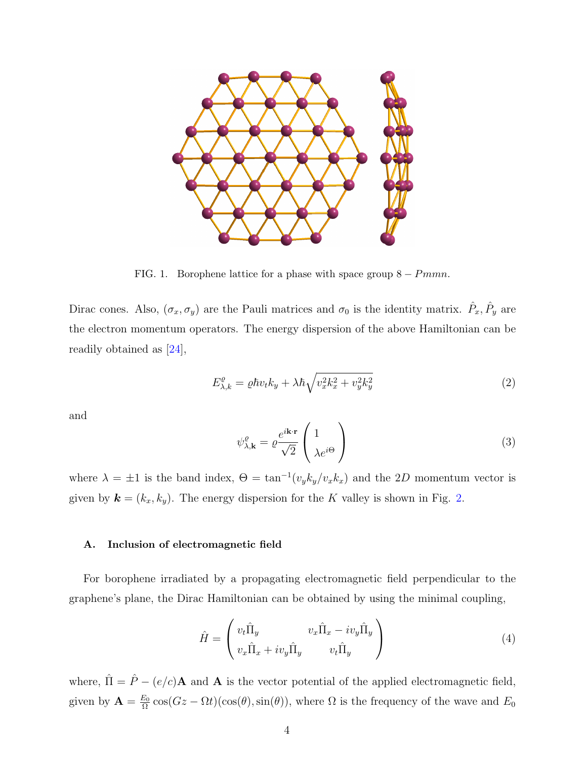

<span id="page-3-0"></span>FIG. 1. Borophene lattice for a phase with space group  $8 - Pmmn$ .

Dirac cones. Also,  $(\sigma_x, \sigma_y)$  are the Pauli matrices and  $\sigma_0$  is the identity matrix.  $\hat{P}_x, \hat{P}_y$  are the electron momentum operators. The energy dispersion of the above Hamiltonian can be readily obtained as [\[24\]](#page-14-7),

<span id="page-3-1"></span>
$$
E_{\lambda,k}^{\varrho} = \varrho \hbar v_t k_y + \lambda \hbar \sqrt{v_x^2 k_x^2 + v_y^2 k_y^2}
$$
 (2)

and

$$
\psi_{\lambda,\mathbf{k}}^{\varrho} = \varrho \frac{e^{i\mathbf{k}\cdot\mathbf{r}}}{\sqrt{2}} \begin{pmatrix} 1\\ \lambda e^{i\Theta} \end{pmatrix}
$$
 (3)

where  $\lambda = \pm 1$  is the band index,  $\Theta = \tan^{-1}(v_y k_y / v_x k_x)$  and the 2D momentum vector is given by  $\mathbf{k} = (k_x, k_y)$ . The energy dispersion for the K valley is shown in Fig. [2.](#page-4-0)

## A. Inclusion of electromagnetic field

For borophene irradiated by a propagating electromagnetic field perpendicular to the graphene's plane, the Dirac Hamiltonian can be obtained by using the minimal coupling,

$$
\hat{H} = \begin{pmatrix} v_t \hat{\Pi}_y & v_x \hat{\Pi}_x - iv_y \hat{\Pi}_y \\ v_x \hat{\Pi}_x + iv_y \hat{\Pi}_y & v_t \hat{\Pi}_y \end{pmatrix}
$$
\n(4)

where,  $\hat{\Pi} = \hat{P} - (e/c)\mathbf{A}$  and **A** is the vector potential of the applied electromagnetic field, given by  $\mathbf{A} = \frac{E_0}{\Omega}$  $\frac{E_0}{\Omega}$  cos( $Gz - \Omega t$ )(cos( $\theta$ ), sin( $\theta$ )), where  $\Omega$  is the frequency of the wave and  $E_0$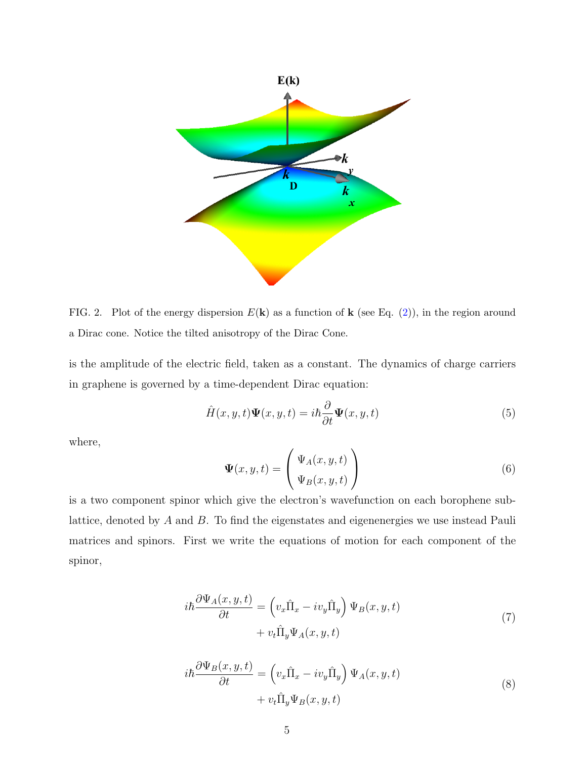

<span id="page-4-0"></span>FIG. 2. Plot of the energy dispersion  $E(\mathbf{k})$  as a function of  $\mathbf{k}$  (see Eq. [\(2\)](#page-3-1)), in the region around a Dirac cone. Notice the tilted anisotropy of the Dirac Cone.

is the amplitude of the electric field, taken as a constant. The dynamics of charge carriers in graphene is governed by a time-dependent Dirac equation:

$$
\hat{H}(x, y, t)\Psi(x, y, t) = i\hbar \frac{\partial}{\partial t}\Psi(x, y, t)
$$
\n(5)

where,

$$
\Psi(x, y, t) = \begin{pmatrix} \Psi_A(x, y, t) \\ \Psi_B(x, y, t) \end{pmatrix}
$$
 (6)

<span id="page-4-1"></span>is a two component spinor which give the electron's wavefunction on each borophene sublattice, denoted by A and B. To find the eigenstates and eigenenergies we use instead Pauli matrices and spinors. First we write the equations of motion for each component of the spinor,

$$
i\hbar \frac{\partial \Psi_A(x, y, t)}{\partial t} = \left( v_x \hat{\Pi}_x - iv_y \hat{\Pi}_y \right) \Psi_B(x, y, t) + v_t \hat{\Pi}_y \Psi_A(x, y, t)
$$
\n(7)

<span id="page-4-2"></span>
$$
i\hbar \frac{\partial \Psi_B(x, y, t)}{\partial t} = \left( v_x \hat{\Pi}_x - iv_y \hat{\Pi}_y \right) \Psi_A(x, y, t) + v_t \hat{\Pi}_y \Psi_B(x, y, t)
$$
\n(8)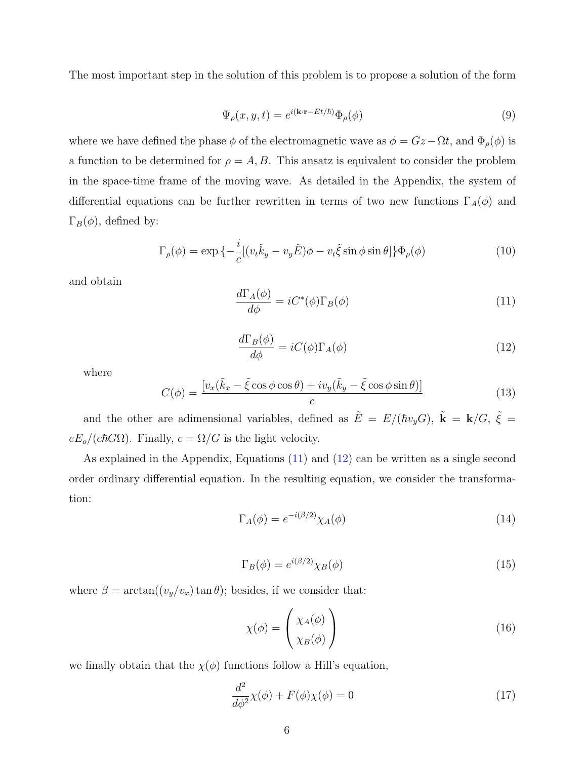<span id="page-5-3"></span>The most important step in the solution of this problem is to propose a solution of the form

$$
\Psi_{\rho}(x, y, t) = e^{i(\mathbf{k} \cdot \mathbf{r} - Et/\hbar)} \Phi_{\rho}(\phi)
$$
\n(9)

where we have defined the phase  $\phi$  of the electromagnetic wave as  $\phi = Gz - \Omega t$ , and  $\Phi_{\rho}(\phi)$  is a function to be determined for  $\rho = A, B$ . This ansatz is equivalent to consider the problem in the space-time frame of the moving wave. As detailed in the Appendix, the system of differential equations can be further rewritten in terms of two new functions  $\Gamma_A(\phi)$  and  $\Gamma_B(\phi)$ , defined by:

<span id="page-5-0"></span>
$$
\Gamma_{\rho}(\phi) = \exp\left\{-\frac{i}{c}[(v_t\tilde{k}_y - v_y\tilde{E})\phi - v_t\tilde{\xi}\sin\phi\sin\theta]\right\}\Phi_{\rho}(\phi)
$$
\n(10)

<span id="page-5-1"></span>and obtain

$$
\frac{d\Gamma_A(\phi)}{d\phi} = iC^*(\phi)\Gamma_B(\phi)
$$
\n(11)

$$
\frac{d\Gamma_B(\phi)}{d\phi} = iC(\phi)\Gamma_A(\phi)
$$
\n(12)

where

$$
C(\phi) = \frac{\left[v_x(\tilde{k}_x - \tilde{\xi}\cos\phi\cos\theta) + iv_y(\tilde{k}_y - \tilde{\xi}\cos\phi\sin\theta)\right]}{c}
$$
(13)

and the other are adimensional variables, defined as  $\tilde{E} = E/(\hbar v_y G)$ ,  $\tilde{k} = \mathbf{k}/G$ ,  $\tilde{\xi} =$  $eE_o/(c\hbar G\Omega)$ . Finally,  $c = \Omega/G$  is the light velocity.

As explained in the Appendix, Equations [\(11\)](#page-5-0) and [\(12\)](#page-5-1) can be written as a single second order ordinary differential equation. In the resulting equation, we consider the transformation:

$$
\Gamma_A(\phi) = e^{-i(\beta/2)} \chi_A(\phi) \tag{14}
$$

$$
\Gamma_B(\phi) = e^{i(\beta/2)} \chi_B(\phi) \tag{15}
$$

where  $\beta = \arctan((v_y/v_x) \tan \theta)$ ; besides, if we consider that:

<span id="page-5-2"></span>
$$
\chi(\phi) = \begin{pmatrix} \chi_A(\phi) \\ \chi_B(\phi) \end{pmatrix} \tag{16}
$$

we finally obtain that the  $\chi(\phi)$  functions follow a Hill's equation,

$$
\frac{d^2}{d\phi^2}\chi(\phi) + F(\phi)\chi(\phi) = 0\tag{17}
$$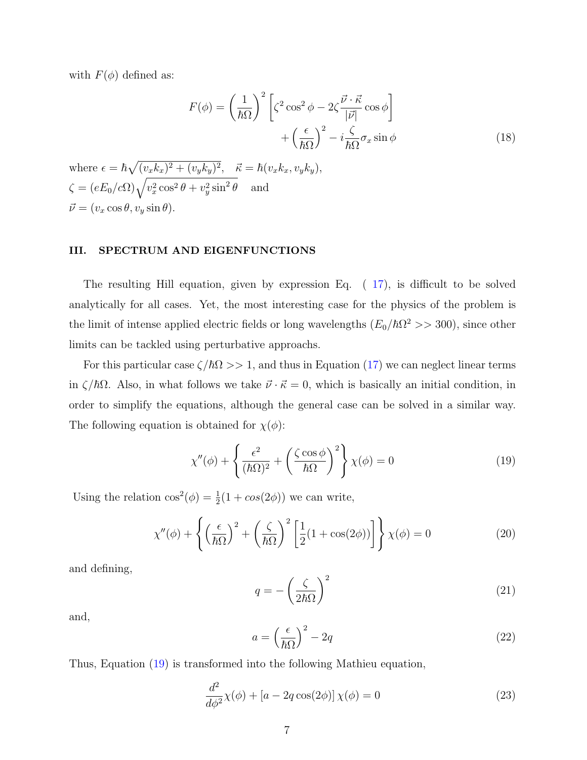with  $F(\phi)$  defined as:

$$
F(\phi) = \left(\frac{1}{\hbar\Omega}\right)^2 \left[\zeta^2 \cos^2 \phi - 2\zeta \frac{\vec{v} \cdot \vec{\kappa}}{|\vec{v}|} \cos \phi\right] + \left(\frac{\epsilon}{\hbar\Omega}\right)^2 - i\frac{\zeta}{\hbar\Omega}\sigma_x \sin \phi
$$
\n(18)

where  $\epsilon = \hbar \sqrt{(v_x k_x)^2 + (v_y k_y)^2}$ ,  $\vec{\kappa} = \hbar (v_x k_x, v_y k_y)$ ,  $\zeta = (eE_0/c\Omega)\sqrt{v_x^2\cos^2\theta + v_y^2\sin^2\theta}$  and  $\vec{\nu} = (v_x \cos \theta, v_y \sin \theta).$ 

#### <span id="page-6-0"></span>III. SPECTRUM AND EIGENFUNCTIONS

The resulting Hill equation, given by expression Eq. ( [17\)](#page-5-2), is difficult to be solved analytically for all cases. Yet, the most interesting case for the physics of the problem is the limit of intense applied electric fields or long wavelengths  $(E_0/\hbar\Omega^2 >> 300)$ , since other limits can be tackled using perturbative approachs.

For this particular case  $\zeta/\hbar\Omega >> 1$ , and thus in Equation [\(17\)](#page-5-2) we can neglect linear terms in  $\zeta/\hbar\Omega$ . Also, in what follows we take  $\vec{\nu} \cdot \vec{\kappa} = 0$ , which is basically an initial condition, in order to simplify the equations, although the general case can be solved in a similar way. The following equation is obtained for  $\chi(\phi)$ :

<span id="page-6-1"></span>
$$
\chi''(\phi) + \left\{ \frac{\epsilon^2}{(\hbar\Omega)^2} + \left(\frac{\zeta\cos\phi}{\hbar\Omega}\right)^2 \right\} \chi(\phi) = 0 \tag{19}
$$

Using the relation  $\cos^2(\phi) = \frac{1}{2}(1 + \cos(2\phi))$  we can write,

$$
\chi''(\phi) + \left\{ \left(\frac{\epsilon}{\hbar\Omega}\right)^2 + \left(\frac{\zeta}{\hbar\Omega}\right)^2 \left[\frac{1}{2}(1 + \cos(2\phi))\right] \right\} \chi(\phi) = 0 \tag{20}
$$

and defining,

$$
q = -\left(\frac{\zeta}{2\hbar\Omega}\right)^2\tag{21}
$$

<span id="page-6-2"></span>and,

$$
a = \left(\frac{\epsilon}{\hbar\Omega}\right)^2 - 2q\tag{22}
$$

Thus, Equation [\(19\)](#page-6-1) is transformed into the following Mathieu equation,

$$
\frac{d^2}{d\phi^2}\chi(\phi) + [a - 2q\cos(2\phi)]\chi(\phi) = 0
$$
\n(23)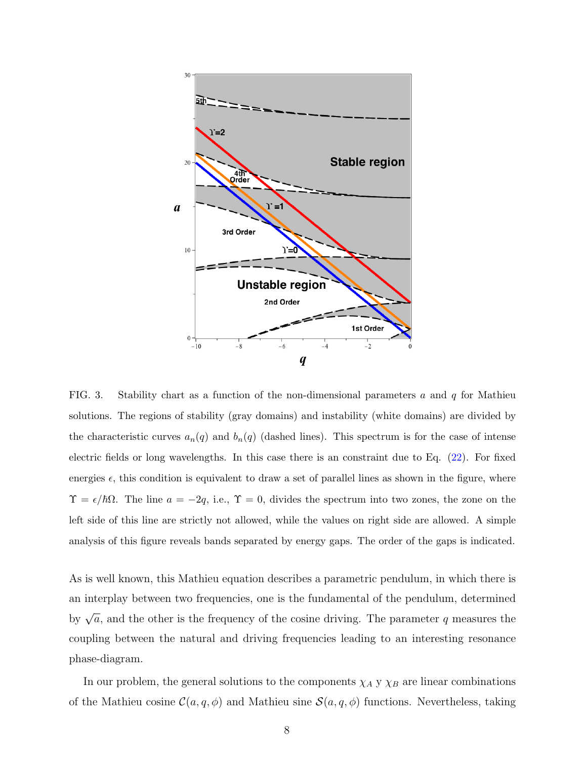

<span id="page-7-0"></span>FIG. 3. Stability chart as a function of the non-dimensional parameters a and  $q$  for Mathieu solutions. The regions of stability (gray domains) and instability (white domains) are divided by the characteristic curves  $a_n(q)$  and  $b_n(q)$  (dashed lines). This spectrum is for the case of intense electric fields or long wavelengths. In this case there is an constraint due to Eq. [\(22\)](#page-6-2). For fixed energies  $\epsilon$ , this condition is equivalent to draw a set of parallel lines as shown in the figure, where  $\Upsilon = \epsilon/\hbar\Omega$ . The line  $a = -2q$ , i.e.,  $\Upsilon = 0$ , divides the spectrum into two zones, the zone on the left side of this line are strictly not allowed, while the values on right side are allowed. A simple analysis of this figure reveals bands separated by energy gaps. The order of the gaps is indicated.

As is well known, this Mathieu equation describes a parametric pendulum, in which there is an interplay between two frequencies, one is the fundamental of the pendulum, determined by  $\sqrt{a}$ , and the other is the frequency of the cosine driving. The parameter q measures the coupling between the natural and driving frequencies leading to an interesting resonance phase-diagram.

In our problem, the general solutions to the components  $\chi_A$  y  $\chi_B$  are linear combinations of the Mathieu cosine  $\mathcal{C}(a, q, \phi)$  and Mathieu sine  $\mathcal{S}(a, q, \phi)$  functions. Nevertheless, taking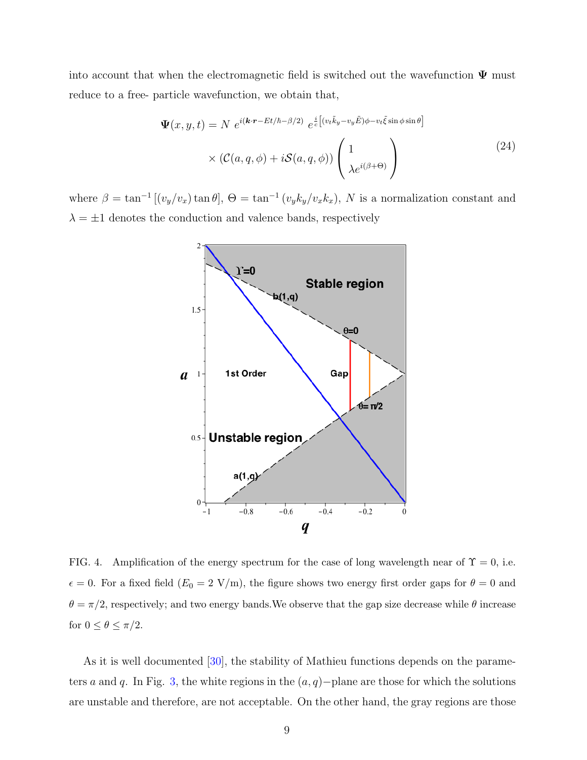into account that when the electromagnetic field is switched out the wavefunction  $\Psi$  must reduce to a free- particle wavefunction, we obtain that,

$$
\Psi(x, y, t) = N e^{i(\mathbf{k} \cdot \mathbf{r} - Et/\hbar - \beta/2)} e^{\frac{i}{c} \left[ (v_t \tilde{k}_y - v_y \tilde{E}) \phi - v_t \tilde{\xi} \sin \phi \sin \theta \right]}
$$

$$
\times (\mathcal{C}(a, q, \phi) + i\mathcal{S}(a, q, \phi)) \left( \frac{1}{\lambda e^{i(\beta + \Theta)}} \right)
$$
(24)

where  $\beta = \tan^{-1} [(v_y/v_x) \tan \theta]$ ,  $\Theta = \tan^{-1} (v_y k_y/v_x k_x)$ , N is a normalization constant and  $\lambda = \pm 1$  denotes the conduction and valence bands, respectively



FIG. 4. Amplification of the energy spectrum for the case of long wavelength near of  $\Upsilon = 0$ , i.e.  $\epsilon = 0$ . For a fixed field  $(E_0 = 2 \text{ V/m})$ , the figure shows two energy first order gaps for  $\theta = 0$  and  $\theta = \pi/2$ , respectively; and two energy bands. We observe that the gap size decrease while  $\theta$  increase for  $0 \le \theta \le \pi/2$ .

As it is well documented [\[30\]](#page-15-2), the stability of Mathieu functions depends on the parame-ters a and q. In Fig. [3,](#page-7-0) the white regions in the  $(a, q)$ −plane are those for which the solutions are unstable and therefore, are not acceptable. On the other hand, the gray regions are those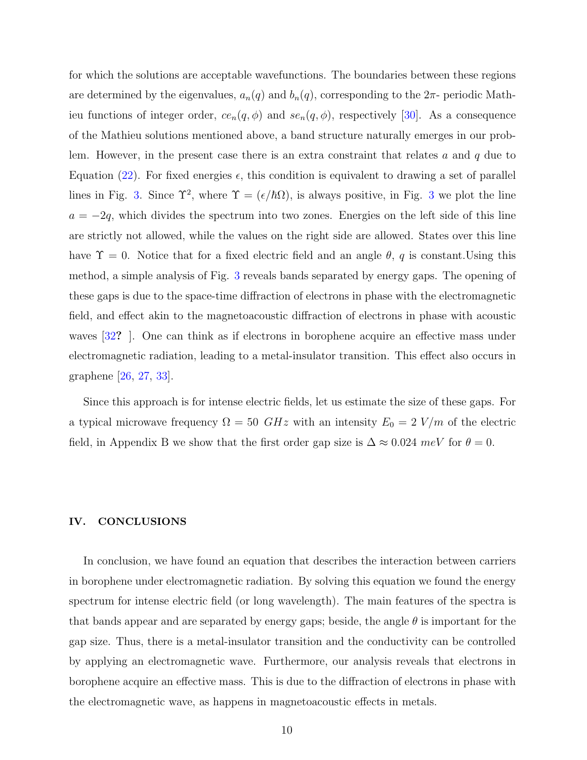for which the solutions are acceptable wavefunctions. The boundaries between these regions are determined by the eigenvalues,  $a_n(q)$  and  $b_n(q)$ , corresponding to the  $2\pi$ - periodic Mathieu functions of integer order,  $ce_n(q, \phi)$  and  $se_n(q, \phi)$ , respectively [\[30\]](#page-15-2). As a consequence of the Mathieu solutions mentioned above, a band structure naturally emerges in our problem. However, in the present case there is an extra constraint that relates  $a$  and  $q$  due to Equation [\(22\)](#page-6-2). For fixed energies  $\epsilon$ , this condition is equivalent to drawing a set of parallel lines in Fig. [3.](#page-7-0) Since  $\Upsilon^2$ , where  $\Upsilon = (\epsilon/\hbar\Omega)$ , is always positive, in Fig. [3](#page-7-0) we plot the line  $a = -2q$ , which divides the spectrum into two zones. Energies on the left side of this line are strictly not allowed, while the values on the right side are allowed. States over this line have  $\Upsilon = 0$ . Notice that for a fixed electric field and an angle  $\theta$ , q is constant. Using this method, a simple analysis of Fig. [3](#page-7-0) reveals bands separated by energy gaps. The opening of these gaps is due to the space-time diffraction of electrons in phase with the electromagnetic field, and effect akin to the magnetoacoustic diffraction of electrons in phase with acoustic waves [\[32](#page-15-3)?]. One can think as if electrons in borophene acquire an effective mass under electromagnetic radiation, leading to a metal-insulator transition. This effect also occurs in graphene [\[26,](#page-14-9) [27,](#page-14-10) [33\]](#page-15-4).

Since this approach is for intense electric fields, let us estimate the size of these gaps. For a typical microwave frequency  $\Omega = 50$  *GHz* with an intensity  $E_0 = 2$  *V/m* of the electric field, in Appendix B we show that the first order gap size is  $\Delta \approx 0.024$  meV for  $\theta = 0$ .

#### <span id="page-9-0"></span>IV. CONCLUSIONS

In conclusion, we have found an equation that describes the interaction between carriers in borophene under electromagnetic radiation. By solving this equation we found the energy spectrum for intense electric field (or long wavelength). The main features of the spectra is that bands appear and are separated by energy gaps; beside, the angle  $\theta$  is important for the gap size. Thus, there is a metal-insulator transition and the conductivity can be controlled by applying an electromagnetic wave. Furthermore, our analysis reveals that electrons in borophene acquire an effective mass. This is due to the diffraction of electrons in phase with the electromagnetic wave, as happens in magnetoacoustic effects in metals.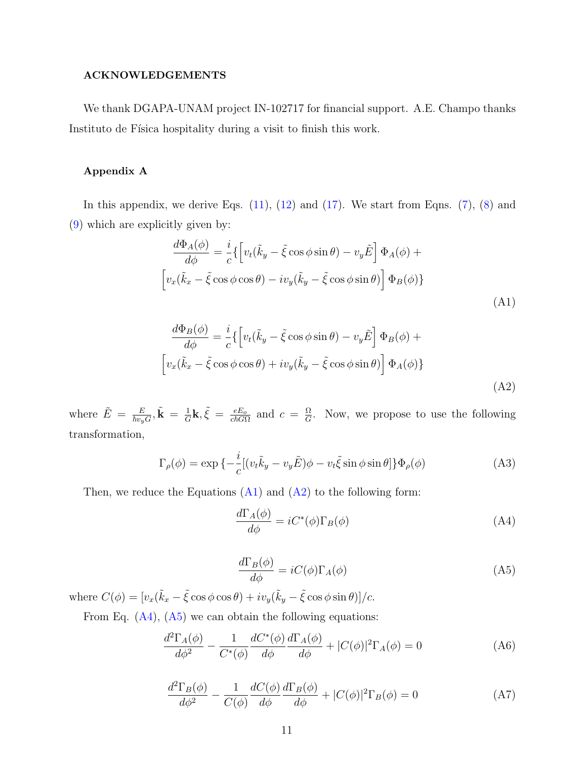### ACKNOWLEDGEMENTS

We thank DGAPA-UNAM project IN-102717 for financial support. A.E. Champo thanks Instituto de Física hospitality during a visit to finish this work.

#### Appendix A

In this appendix, we derive Eqs.  $(11)$ ,  $(12)$  and  $(17)$ . We start from Eqns.  $(7)$ ,  $(8)$  and [\(9\)](#page-5-3) which are explicitly given by:

<span id="page-10-0"></span>
$$
\frac{d\Phi_A(\phi)}{d\phi} = \frac{i}{c} \left\{ \left[ v_t(\tilde{k}_y - \tilde{\xi}\cos\phi\sin\theta) - v_y \tilde{E} \right] \Phi_A(\phi) + \left[ v_x(\tilde{k}_x - \tilde{\xi}\cos\phi\cos\theta) - iv_y(\tilde{k}_y - \tilde{\xi}\cos\phi\sin\theta) \right] \Phi_B(\phi) \right\}
$$
\n(A1)

<span id="page-10-1"></span>
$$
\frac{d\Phi_B(\phi)}{d\phi} = \frac{i}{c} \left\{ \left[ v_t(\tilde{k}_y - \tilde{\xi}\cos\phi\sin\theta) - v_y \tilde{E} \right] \Phi_B(\phi) + \left[ v_x(\tilde{k}_x - \tilde{\xi}\cos\phi\cos\theta) + iv_y(\tilde{k}_y - \tilde{\xi}\cos\phi\sin\theta) \right] \Phi_A(\phi) \right\}
$$
\n(A2)

where  $\tilde{E} = \frac{E}{\hbar v_y G}, \tilde{\mathbf{k}} = \frac{1}{G}$  $\frac{1}{G}$ **k**,  $\tilde{\xi} = \frac{eE_o}{c\hbar G\Omega}$  and  $c = \frac{\Omega}{G}$  $\frac{\Omega}{G}$ . Now, we propose to use the following transformation,

$$
\Gamma_{\rho}(\phi) = \exp \left\{-\frac{i}{c} \left[ (v_t \tilde{k}_y - v_y \tilde{E})\phi - v_t \tilde{\xi} \sin \phi \sin \theta \right] \right\} \Phi_{\rho}(\phi)
$$
\n(A3)

<span id="page-10-3"></span>Then, we reduce the Equations  $(A1)$  and  $(A2)$  to the following form:

<span id="page-10-2"></span>
$$
\frac{d\Gamma_A(\phi)}{d\phi} = iC^*(\phi)\Gamma_B(\phi)
$$
\n(A4)

<span id="page-10-4"></span>
$$
\frac{d\Gamma_B(\phi)}{d\phi} = iC(\phi)\Gamma_A(\phi)
$$
\n(A5)

where  $C(\phi) = [v_x(\tilde{k}_x - \tilde{\xi}\cos\phi\cos\theta) + iv_y(\tilde{k}_y - \tilde{\xi}\cos\phi\sin\theta)]/c$ .

<span id="page-10-5"></span>From Eq.  $(A4)$ ,  $(A5)$  we can obtain the following equations:

$$
\frac{d^2\Gamma_A(\phi)}{d\phi^2} - \frac{1}{C^*(\phi)} \frac{dC^*(\phi)}{d\phi} \frac{d\Gamma_A(\phi)}{d\phi} + |C(\phi)|^2 \Gamma_A(\phi) = 0
$$
 (A6)

$$
\frac{d^2\Gamma_B(\phi)}{d\phi^2} - \frac{1}{C(\phi)} \frac{dC(\phi)}{d\phi} \frac{d\Gamma_B(\phi)}{d\phi} + |C(\phi)|^2 \Gamma_B(\phi) = 0
$$
 (A7)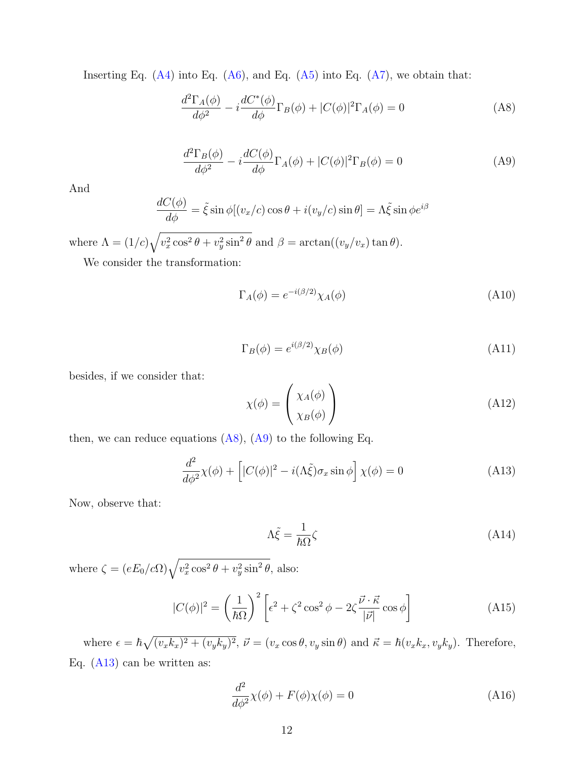Inserting Eq.  $(A4)$  into Eq.  $(A6)$ , and Eq.  $(A5)$  into Eq.  $(A7)$ , we obtain that:

<span id="page-11-0"></span>
$$
\frac{d^2\Gamma_A(\phi)}{d\phi^2} - i \frac{dC^*(\phi)}{d\phi} \Gamma_B(\phi) + |C(\phi)|^2 \Gamma_A(\phi) = 0
$$
\n(A8)

$$
\frac{d^2\Gamma_B(\phi)}{d\phi^2} - i\frac{dC(\phi)}{d\phi}\Gamma_A(\phi) + |C(\phi)|^2\Gamma_B(\phi) = 0
$$
\n(A9)

<span id="page-11-1"></span>And

$$
\frac{dC(\phi)}{d\phi} = \tilde{\xi} \sin \phi [(v_x/c) \cos \theta + i(v_y/c) \sin \theta] = \Lambda \tilde{\xi} \sin \phi e^{i\beta}
$$

where  $\Lambda = (1/c)\sqrt{v_x^2 \cos^2 \theta + v_y^2 \sin^2 \theta}$  and  $\beta = \arctan((v_y/v_x) \tan \theta)$ .

We consider the transformation:

$$
\Gamma_A(\phi) = e^{-i(\beta/2)} \chi_A(\phi) \tag{A10}
$$

$$
\Gamma_B(\phi) = e^{i(\beta/2)} \chi_B(\phi) \tag{A11}
$$

besides, if we consider that:

<span id="page-11-2"></span>
$$
\chi(\phi) = \begin{pmatrix} \chi_A(\phi) \\ \chi_B(\phi) \end{pmatrix} \tag{A12}
$$

then, we can reduce equations  $(A8)$ ,  $(A9)$  to the following Eq.

$$
\frac{d^2}{d\phi^2}\chi(\phi) + \left[|C(\phi)|^2 - i(\Lambda \tilde{\xi})\sigma_x \sin \phi\right]\chi(\phi) = 0
$$
\n(A13)

Now, observe that:

$$
\Lambda \tilde{\xi} = \frac{1}{\hbar \Omega} \zeta \tag{A14}
$$

where  $\zeta = (eE_0/c\Omega)\sqrt{v_x^2 \cos^2 \theta + v_y^2 \sin^2 \theta}$ , also:

$$
|C(\phi)|^2 = \left(\frac{1}{\hbar\Omega}\right)^2 \left[\epsilon^2 + \zeta^2 \cos^2\phi - 2\zeta \frac{\vec{\nu} \cdot \vec{\kappa}}{|\vec{\nu}|} \cos\phi\right]
$$
(A15)

where  $\epsilon = \hbar \sqrt{(v_x k_x)^2 + (v_y k_y)^2}$ ,  $\vec{\nu} = (v_x \cos \theta, v_y \sin \theta)$  and  $\vec{\kappa} = \hbar (v_x k_x, v_y k_y)$ . Therefore, Eq. [\(A13\)](#page-11-2) can be written as:

<span id="page-11-3"></span>
$$
\frac{d^2}{d\phi^2}\chi(\phi) + F(\phi)\chi(\phi) = 0
$$
\n(A16)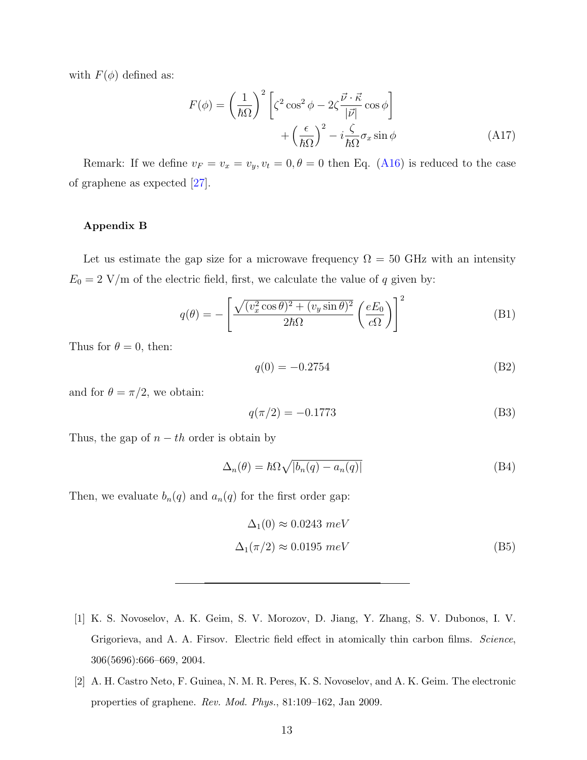with  $F(\phi)$  defined as:

$$
F(\phi) = \left(\frac{1}{\hbar\Omega}\right)^2 \left[\zeta^2 \cos^2 \phi - 2\zeta \frac{\vec{v} \cdot \vec{\kappa}}{|\vec{v}|} \cos \phi\right] + \left(\frac{\epsilon}{\hbar\Omega}\right)^2 - i\frac{\zeta}{\hbar\Omega}\sigma_x \sin \phi \tag{A17}
$$

Remark: If we define  $v_F = v_x = v_y, v_t = 0, \theta = 0$  then Eq. [\(A16\)](#page-11-3) is reduced to the case of graphene as expected [\[27\]](#page-14-10).

#### Appendix B

Let us estimate the gap size for a microwave frequency  $\Omega = 50$  GHz with an intensity  $E_0 = 2$  V/m of the electric field, first, we calculate the value of q given by:

$$
q(\theta) = -\left[\frac{\sqrt{(v_x^2 \cos \theta)^2 + (v_y \sin \theta)^2}}{2\hbar\Omega} \left(\frac{eE_0}{c\Omega}\right)\right]^2
$$
(B1)

Thus for  $\theta = 0$ , then:

$$
q(0) = -0.2754
$$
 (B2)

and for  $\theta = \pi/2$ , we obtain:

$$
q(\pi/2) = -0.1773\tag{B3}
$$

Thus, the gap of  $n - th$  order is obtain by

$$
\Delta_n(\theta) = \hbar \Omega \sqrt{|b_n(q) - a_n(q)|} \tag{B4}
$$

Then, we evaluate  $b_n(q)$  and  $a_n(q)$  for the first order gap:

$$
\Delta_1(0) \approx 0.0243 \ meV
$$
  

$$
\Delta_1(\pi/2) \approx 0.0195 \ meV
$$
 (B5)

- <span id="page-12-0"></span>[1] K. S. Novoselov, A. K. Geim, S. V. Morozov, D. Jiang, Y. Zhang, S. V. Dubonos, I. V. Grigorieva, and A. A. Firsov. Electric field effect in atomically thin carbon films. Science, 306(5696):666–669, 2004.
- <span id="page-12-1"></span>[2] A. H. Castro Neto, F. Guinea, N. M. R. Peres, K. S. Novoselov, and A. K. Geim. The electronic properties of graphene. Rev. Mod. Phys., 81:109–162, Jan 2009.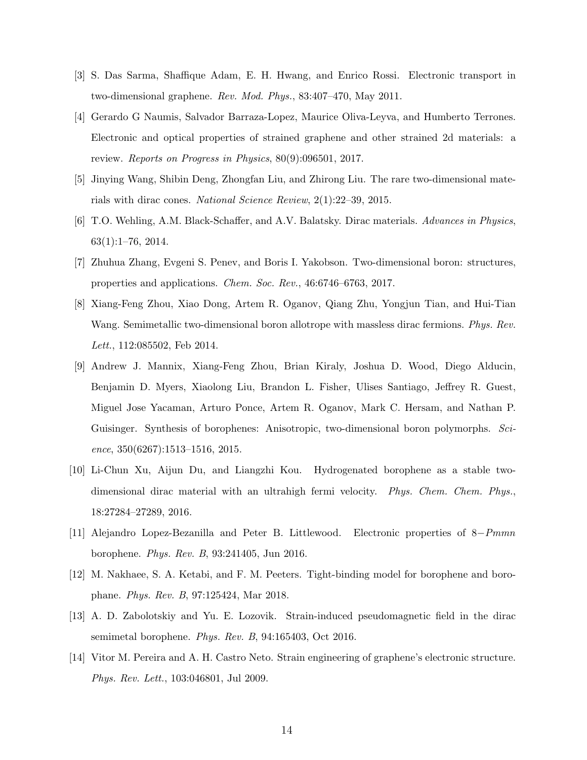- [3] S. Das Sarma, Shaffique Adam, E. H. Hwang, and Enrico Rossi. Electronic transport in two-dimensional graphene. Rev. Mod. Phys., 83:407–470, May 2011.
- <span id="page-13-0"></span>[4] Gerardo G Naumis, Salvador Barraza-Lopez, Maurice Oliva-Leyva, and Humberto Terrones. Electronic and optical properties of strained graphene and other strained 2d materials: a review. Reports on Progress in Physics, 80(9):096501, 2017.
- <span id="page-13-1"></span>[5] Jinying Wang, Shibin Deng, Zhongfan Liu, and Zhirong Liu. The rare two-dimensional materials with dirac cones. National Science Review, 2(1):22–39, 2015.
- <span id="page-13-2"></span>[6] T.O. Wehling, A.M. Black-Schaffer, and A.V. Balatsky. Dirac materials. Advances in Physics, 63(1):1–76, 2014.
- <span id="page-13-3"></span>[7] Zhuhua Zhang, Evgeni S. Penev, and Boris I. Yakobson. Two-dimensional boron: structures, properties and applications. Chem. Soc. Rev., 46:6746–6763, 2017.
- <span id="page-13-4"></span>[8] Xiang-Feng Zhou, Xiao Dong, Artem R. Oganov, Qiang Zhu, Yongjun Tian, and Hui-Tian Wang. Semimetallic two-dimensional boron allotrope with massless dirac fermions. *Phys. Rev.* Lett., 112:085502, Feb 2014.
- <span id="page-13-5"></span>[9] Andrew J. Mannix, Xiang-Feng Zhou, Brian Kiraly, Joshua D. Wood, Diego Alducin, Benjamin D. Myers, Xiaolong Liu, Brandon L. Fisher, Ulises Santiago, Jeffrey R. Guest, Miguel Jose Yacaman, Arturo Ponce, Artem R. Oganov, Mark C. Hersam, and Nathan P. Guisinger. Synthesis of borophenes: Anisotropic, two-dimensional boron polymorphs. Science, 350(6267):1513–1516, 2015.
- <span id="page-13-6"></span>[10] Li-Chun Xu, Aijun Du, and Liangzhi Kou. Hydrogenated borophene as a stable twodimensional dirac material with an ultrahigh fermi velocity. *Phys. Chem. Chem. Phys.*, 18:27284–27289, 2016.
- <span id="page-13-7"></span>[11] Alejandro Lopez-Bezanilla and Peter B. Littlewood. Electronic properties of 8−Pmmn borophene. Phys. Rev. B, 93:241405, Jun 2016.
- <span id="page-13-8"></span>[12] M. Nakhaee, S. A. Ketabi, and F. M. Peeters. Tight-binding model for borophene and borophane. Phys. Rev. B, 97:125424, Mar 2018.
- <span id="page-13-9"></span>[13] A. D. Zabolotskiy and Yu. E. Lozovik. Strain-induced pseudomagnetic field in the dirac semimetal borophene. Phys. Rev. B, 94:165403, Oct 2016.
- <span id="page-13-10"></span>[14] Vitor M. Pereira and A. H. Castro Neto. Strain engineering of graphene's electronic structure. Phys. Rev. Lett., 103:046801, Jul 2009.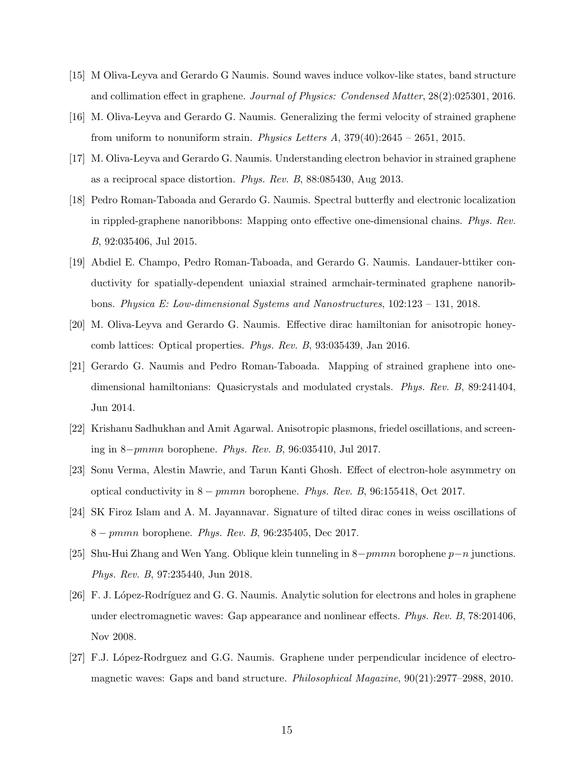- <span id="page-14-11"></span>[15] M Oliva-Leyva and Gerardo G Naumis. Sound waves induce volkov-like states, band structure and collimation effect in graphene. Journal of Physics: Condensed Matter, 28(2):025301, 2016.
- [16] M. Oliva-Leyva and Gerardo G. Naumis. Generalizing the fermi velocity of strained graphene from uniform to nonuniform strain. Physics Letters  $A$ , 379(40):2645 – 2651, 2015.
- <span id="page-14-0"></span>[17] M. Oliva-Leyva and Gerardo G. Naumis. Understanding electron behavior in strained graphene as a reciprocal space distortion. Phys. Rev. B, 88:085430, Aug 2013.
- <span id="page-14-1"></span>[18] Pedro Roman-Taboada and Gerardo G. Naumis. Spectral butterfly and electronic localization in rippled-graphene nanoribbons: Mapping onto effective one-dimensional chains. Phys. Rev. B, 92:035406, Jul 2015.
- <span id="page-14-2"></span>[19] Abdiel E. Champo, Pedro Roman-Taboada, and Gerardo G. Naumis. Landauer-bttiker conductivity for spatially-dependent uniaxial strained armchair-terminated graphene nanoribbons. Physica E: Low-dimensional Systems and Nanostructures, 102:123 – 131, 2018.
- <span id="page-14-3"></span>[20] M. Oliva-Leyva and Gerardo G. Naumis. Effective dirac hamiltonian for anisotropic honeycomb lattices: Optical properties. Phys. Rev. B, 93:035439, Jan 2016.
- <span id="page-14-4"></span>[21] Gerardo G. Naumis and Pedro Roman-Taboada. Mapping of strained graphene into onedimensional hamiltonians: Quasicrystals and modulated crystals. Phys. Rev. B, 89:241404, Jun 2014.
- <span id="page-14-5"></span>[22] Krishanu Sadhukhan and Amit Agarwal. Anisotropic plasmons, friedel oscillations, and screening in 8−pmmn borophene. Phys. Rev. B, 96:035410, Jul 2017.
- <span id="page-14-6"></span>[23] Sonu Verma, Alestin Mawrie, and Tarun Kanti Ghosh. Effect of electron-hole asymmetry on optical conductivity in 8 − pmmn borophene. Phys. Rev. B, 96:155418, Oct 2017.
- <span id="page-14-7"></span>[24] SK Firoz Islam and A. M. Jayannavar. Signature of tilted dirac cones in weiss oscillations of 8 − pmmn borophene. Phys. Rev. B, 96:235405, Dec 2017.
- <span id="page-14-8"></span>[25] Shu-Hui Zhang and Wen Yang. Oblique klein tunneling in  $8-pmmn$  borophene  $p-n$  junctions. Phys. Rev. B, 97:235440, Jun 2018.
- <span id="page-14-9"></span>[26] F. J. López-Rodríguez and G. G. Naumis. Analytic solution for electrons and holes in graphene under electromagnetic waves: Gap appearance and nonlinear effects. Phys. Rev. B, 78:201406, Nov 2008.
- <span id="page-14-10"></span>[27] F.J. López-Rodrguez and G.G. Naumis. Graphene under perpendicular incidence of electromagnetic waves: Gaps and band structure. Philosophical Magazine, 90(21):2977–2988, 2010.